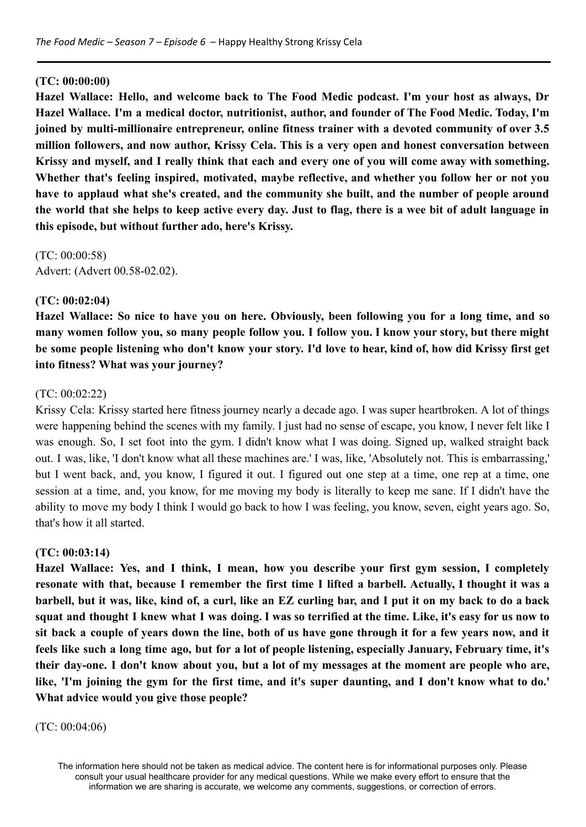#### **(TC: 00:00:00)**

**Hazel Wallace: Hello, and welcome back to The Food Medic podcast. I'm your host as always, Dr Hazel Wallace. I'm a medical doctor, nutritionist, author, and founder of The Food Medic. Today, I'm joined by multi-millionaire entrepreneur, online fitness trainer with a devoted community of over 3.5 million followers, and now author, Krissy Cela. This is a very open and honest conversation between** Krissy and myself, and I really think that each and every one of you will come away with something. **Whether that's feeling inspired, motivated, maybe reflective, and whether you follow her or not you have to applaud what she's created, and the community she built, and the number of people around** the world that she helps to keep active every day. Just to flag, there is a wee bit of adult language in **this episode, but without further ado, here's Krissy.**

(TC: 00:00:58) Advert: (Advert 00.58-02.02).

#### **(TC: 00:02:04)**

Hazel Wallace: So nice to have you on here. Obviously, been following you for a long time, and so many women follow you, so many people follow you. I follow you. I know your story, but there might be some people listening who don't know your story. I'd love to hear, kind of, how did Krissy first get **into fitness? What was your journey?**

#### (TC: 00:02:22)

Krissy Cela: Krissy started here fitness journey nearly a decade ago. I was super heartbroken. A lot of things were happening behind the scenes with my family. I just had no sense of escape, you know, I never felt like I was enough. So, I set foot into the gym. I didn't know what I was doing. Signed up, walked straight back out. I was, like, 'I don't know what all these machines are.' I was, like, 'Absolutely not. This is embarrassing,' but I went back, and, you know, I figured it out. I figured out one step at a time, one rep at a time, one session at a time, and, you know, for me moving my body is literally to keep me sane. If I didn't have the ability to move my body I think I would go back to how I was feeling, you know, seven, eight years ago. So, that's how it all started.

#### **(TC: 00:03:14)**

**Hazel Wallace: Yes, and I think, I mean, how you describe your first gym session, I completely** resonate with that, because I remember the first time I lifted a barbell. Actually, I thought it was a barbell, but it was, like, kind of, a curl, like an EZ curling bar, and I put it on my back to do a back squat and thought I knew what I was doing. I was so terrified at the time. Like, it's easy for us now to sit back a couple of years down the line, both of us have gone through it for a few years now, and it feels like such a long time ago, but for a lot of people listening, especially January, February time, it's their day-one. I don't know about you, but a lot of my messages at the moment are people who are, like, 'I'm joining the gym for the first time, and it's super daunting, and I don't know what to do.' **What advice would you give those people?**

#### (TC: 00:04:06)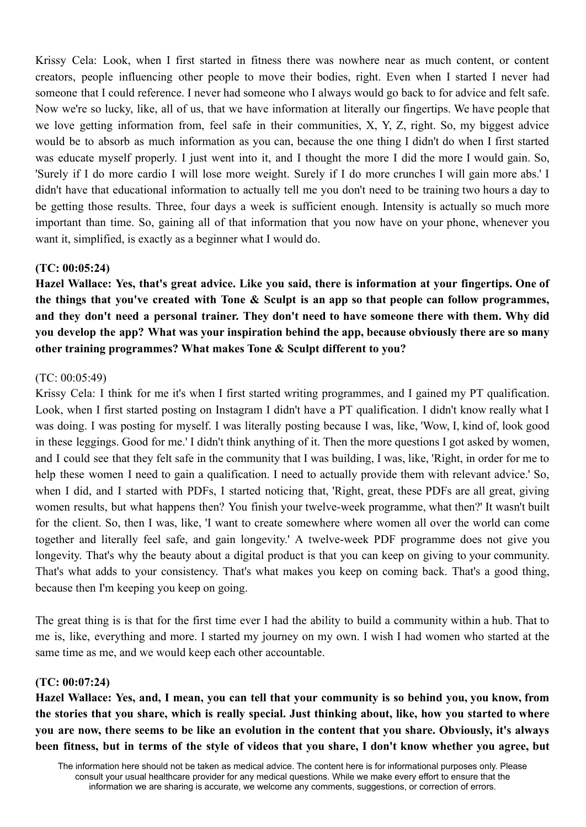Krissy Cela: Look, when I first started in fitness there was nowhere near as much content, or content creators, people influencing other people to move their bodies, right. Even when I started I never had someone that I could reference. I never had someone who I always would go back to for advice and felt safe. Now we're so lucky, like, all of us, that we have information at literally our fingertips. We have people that we love getting information from, feel safe in their communities, X, Y, Z, right. So, my biggest advice would be to absorb as much information as you can, because the one thing I didn't do when I first started was educate myself properly. I just went into it, and I thought the more I did the more I would gain. So, 'Surely if I do more cardio I will lose more weight. Surely if I do more crunches I will gain more abs.' I didn't have that educational information to actually tell me you don't need to be training two hours a day to be getting those results. Three, four days a week is sufficient enough. Intensity is actually so much more important than time. So, gaining all of that information that you now have on your phone, whenever you want it, simplified, is exactly as a beginner what I would do.

#### **(TC: 00:05:24)**

**Hazel Wallace: Yes, that's great advice. Like you said, there is information at your fingertips. One of the things that you've created with Tone & Sculpt is an app so that people can follow programmes, and they don't need a personal trainer. They don't need to have someone there with them. Why did you develop the app? What was your inspiration behind the app, because obviously there are so many other training programmes? What makes Tone & Sculpt different to you?**

#### (TC: 00:05:49)

Krissy Cela: I think for me it's when I first started writing programmes, and I gained my PT qualification. Look, when I first started posting on Instagram I didn't have a PT qualification. I didn't know really what I was doing. I was posting for myself. I was literally posting because I was, like, 'Wow, I, kind of, look good in these leggings. Good for me.' I didn't think anything of it. Then the more questions I got asked by women, and I could see that they felt safe in the community that I was building, I was, like, 'Right, in order for me to help these women I need to gain a qualification. I need to actually provide them with relevant advice.' So, when I did, and I started with PDFs, I started noticing that, 'Right, great, these PDFs are all great, giving women results, but what happens then? You finish your twelve-week programme, what then?' It wasn't built for the client. So, then I was, like, 'I want to create somewhere where women all over the world can come together and literally feel safe, and gain longevity.' A twelve-week PDF programme does not give you longevity. That's why the beauty about a digital product is that you can keep on giving to your community. That's what adds to your consistency. That's what makes you keep on coming back. That's a good thing, because then I'm keeping you keep on going.

The great thing is is that for the first time ever I had the ability to build a community within a hub. That to me is, like, everything and more. I started my journey on my own. I wish I had women who started at the same time as me, and we would keep each other accountable.

#### **(TC: 00:07:24)**

Hazel Wallace: Yes, and, I mean, you can tell that your community is so behind you, you know, from the stories that you share, which is really special. Just thinking about, like, how you started to where you are now, there seems to be like an evolution in the content that you share. Obviously, it's always been fitness, but in terms of the style of videos that you share, I don't know whether you agree, but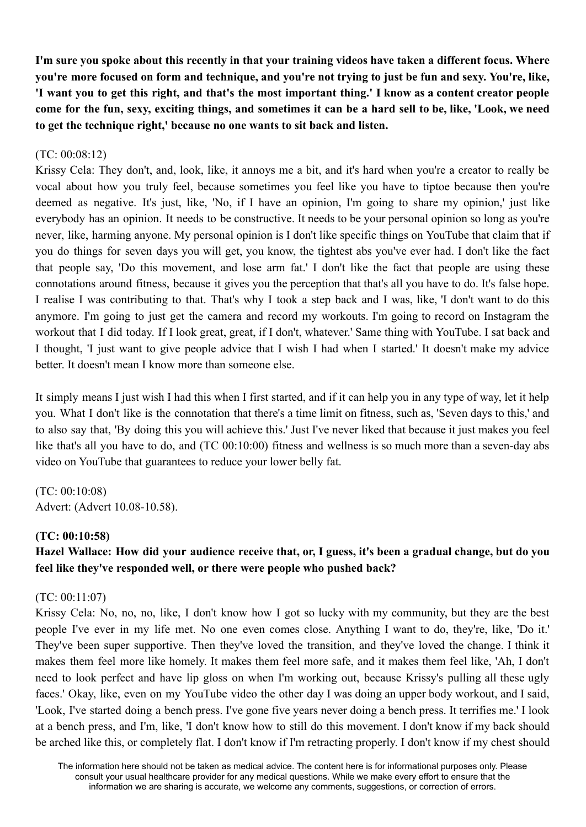I'm sure vou spoke about this recently in that your training videos have taken a different focus. Where you're more focused on form and technique, and you're not trying to just be fun and sexy. You're, like, 'I want you to get this right, and that's the most important thing.' I know as a content creator people come for the fun, sexy, exciting things, and sometimes it can be a hard sell to be, like, 'Look, we need **to get the technique right,' because no one wants to sit back and listen.**

#### $(TC: 00.08.12)$

Krissy Cela: They don't, and, look, like, it annoys me a bit, and it's hard when you're a creator to really be vocal about how you truly feel, because sometimes you feel like you have to tiptoe because then you're deemed as negative. It's just, like, 'No, if I have an opinion, I'm going to share my opinion,' just like everybody has an opinion. It needs to be constructive. It needs to be your personal opinion so long as you're never, like, harming anyone. My personal opinion is I don't like specific things on YouTube that claim that if you do things for seven days you will get, you know, the tightest abs you've ever had. I don't like the fact that people say, 'Do this movement, and lose arm fat.' I don't like the fact that people are using these connotations around fitness, because it gives you the perception that that's all you have to do. It's false hope. I realise I was contributing to that. That's why I took a step back and I was, like, 'I don't want to do this anymore. I'm going to just get the camera and record my workouts. I'm going to record on Instagram the workout that I did today. If I look great, great, if I don't, whatever.' Same thing with YouTube. I sat back and I thought, 'I just want to give people advice that I wish I had when I started.' It doesn't make my advice better. It doesn't mean I know more than someone else.

It simply means I just wish I had this when I first started, and if it can help you in any type of way, let it help you. What I don't like is the connotation that there's a time limit on fitness, such as, 'Seven days to this,' and to also say that, 'By doing this you will achieve this.' Just I've never liked that because it just makes you feel like that's all you have to do, and (TC 00:10:00) fitness and wellness is so much more than a seven-day abs video on YouTube that guarantees to reduce your lower belly fat.

(TC: 00:10:08) Advert: (Advert 10.08-10.58).

#### **(TC: 00:10:58)**

# Hazel Wallace: How did your audience receive that, or, I guess, it's been a gradual change, but do you **feel like they've responded well, or there were people who pushed back?**

#### (TC: 00:11:07)

Krissy Cela: No, no, no, like, I don't know how I got so lucky with my community, but they are the best people I've ever in my life met. No one even comes close. Anything I want to do, they're, like, 'Do it.' They've been super supportive. Then they've loved the transition, and they've loved the change. I think it makes them feel more like homely. It makes them feel more safe, and it makes them feel like, 'Ah, I don't need to look perfect and have lip gloss on when I'm working out, because Krissy's pulling all these ugly faces.' Okay, like, even on my YouTube video the other day I was doing an upper body workout, and I said, 'Look, I've started doing a bench press. I've gone five years never doing a bench press. It terrifies me.' I look at a bench press, and I'm, like, 'I don't know how to still do this movement. I don't know if my back should be arched like this, or completely flat. I don't know if I'm retracting properly. I don't know if my chest should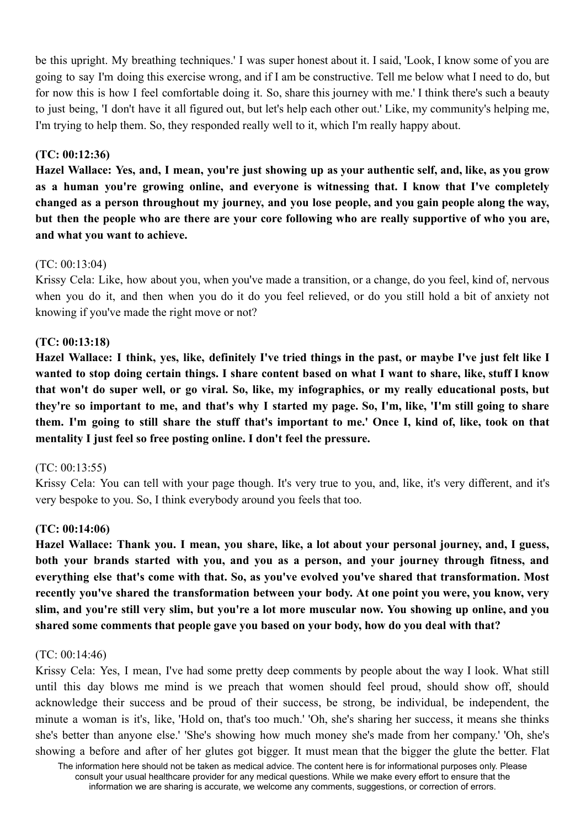be this upright. My breathing techniques.' I was super honest about it. I said, 'Look, I know some of you are going to say I'm doing this exercise wrong, and if I am be constructive. Tell me below what I need to do, but for now this is how I feel comfortable doing it. So, share this journey with me.' I think there's such a beauty to just being, 'I don't have it all figured out, but let's help each other out.' Like, my community's helping me, I'm trying to help them. So, they responded really well to it, which I'm really happy about.

### **(TC: 00:12:36)**

Hazel Wallace: Yes, and, I mean, you're just showing up as your authentic self, and, like, as you grow **as a human you're growing online, and everyone is witnessing that. I know that I've completely changed as a person throughout my journey, and you lose people, and you gain people along the way,** but then the people who are there are your core following who are really supportive of who you are, **and what you want to achieve.**

### $(TC: 00.13.04)$

Krissy Cela: Like, how about you, when you've made a transition, or a change, do you feel, kind of, nervous when you do it, and then when you do it do you feel relieved, or do you still hold a bit of anxiety not knowing if you've made the right move or not?

### **(TC: 00:13:18)**

Hazel Wallace: I think, yes, like, definitely I've tried things in the past, or maybe I've just felt like I wanted to stop doing certain things. I share content based on what I want to share, like, stuff I know that won't do super well, or go viral. So, like, my infographics, or my really educational posts, but they're so important to me, and that's why I started my page. So, I'm, like, 'I'm still going to share them. I'm going to still share the stuff that's important to me.' Once I, kind of, like, took on that **mentality I just feel so free posting online. I don't feel the pressure.**

### (TC: 00:13:55)

Krissy Cela: You can tell with your page though. It's very true to you, and, like, it's very different, and it's very bespoke to you. So, I think everybody around you feels that too.

### **(TC: 00:14:06)**

Hazel Wallace: Thank you. I mean, you share, like, a lot about your personal journey, and, I guess, **both your brands started with you, and you as a person, and your journey through fitness, and everything else that's come with that. So, as you've evolved you've shared that transformation. Most recently you've shared the transformation between your body. At one point you were, you know, very** slim, and you're still very slim, but you're a lot more muscular now. You showing up online, and you **shared some comments that people gave you based on your body, how do you deal with that?**

### (TC: 00:14:46)

Krissy Cela: Yes, I mean, I've had some pretty deep comments by people about the way I look. What still until this day blows me mind is we preach that women should feel proud, should show off, should acknowledge their success and be proud of their success, be strong, be individual, be independent, the minute a woman is it's, like, 'Hold on, that's too much.' 'Oh, she's sharing her success, it means she thinks she's better than anyone else.' 'She's showing how much money she's made from her company.' 'Oh, she's showing a before and after of her glutes got bigger. It must mean that the bigger the glute the better. Flat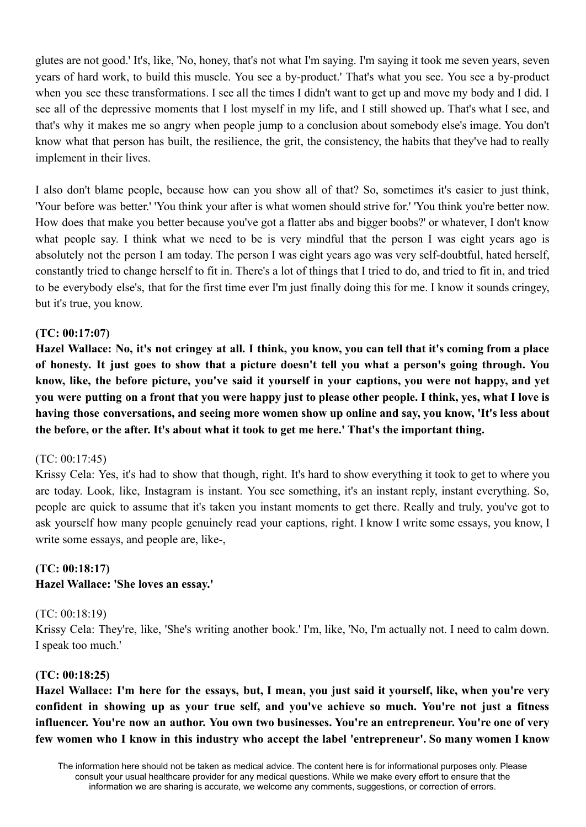glutes are not good.' It's, like, 'No, honey, that's not what I'm saying. I'm saying it took me seven years, seven years of hard work, to build this muscle. You see a by-product.' That's what you see. You see a by-product when you see these transformations. I see all the times I didn't want to get up and move my body and I did. I see all of the depressive moments that I lost myself in my life, and I still showed up. That's what I see, and that's why it makes me so angry when people jump to a conclusion about somebody else's image. You don't know what that person has built, the resilience, the grit, the consistency, the habits that they've had to really implement in their lives.

I also don't blame people, because how can you show all of that? So, sometimes it's easier to just think, 'Your before was better.' 'You think your after is what women should strive for.' 'You think you're better now. How does that make you better because you've got a flatter abs and bigger boobs?' or whatever, I don't know what people say. I think what we need to be is very mindful that the person I was eight years ago is absolutely not the person I am today. The person I was eight years ago was very self-doubtful, hated herself, constantly tried to change herself to fit in. There's a lot of things that I tried to do, and tried to fit in, and tried to be everybody else's, that for the first time ever I'm just finally doing this for me. I know it sounds cringey, but it's true, you know.

### **(TC: 00:17:07)**

Hazel Wallace: No, it's not cringey at all. I think, you know, you can tell that it's coming from a place of honesty. It just goes to show that a picture doesn't tell you what a person's going through. You know, like, the before picture, you've said it yourself in your captions, you were not happy, and yet you were putting on a front that you were happy just to please other people. I think, yes, what I love is **having those conversations, and seeing more women show up online and say, you know, 'It's less about the before, or the after. It's about what it took to get me here.' That's the important thing.**

#### (TC: 00:17:45)

Krissy Cela: Yes, it's had to show that though, right. It's hard to show everything it took to get to where you are today. Look, like, Instagram is instant. You see something, it's an instant reply, instant everything. So, people are quick to assume that it's taken you instant moments to get there. Really and truly, you've got to ask yourself how many people genuinely read your captions, right. I know I write some essays, you know, I write some essays, and people are, like-,

### **(TC: 00:18:17)**

### **Hazel Wallace: 'She loves an essay.'**

#### (TC: 00:18:19)

Krissy Cela: They're, like, 'She's writing another book.' I'm, like, 'No, I'm actually not. I need to calm down. I speak too much.'

### **(TC: 00:18:25)**

Hazel Wallace: I'm here for the essays, but, I mean, you just said it yourself, like, when you're very **confident in showing up as your true self, and you've achieve so much. You're not just a fitness influencer. You're now an author. You own two businesses. You're an entrepreneur. You're one of very few women who I know in this industry who accept the label 'entrepreneur'. So many women I know**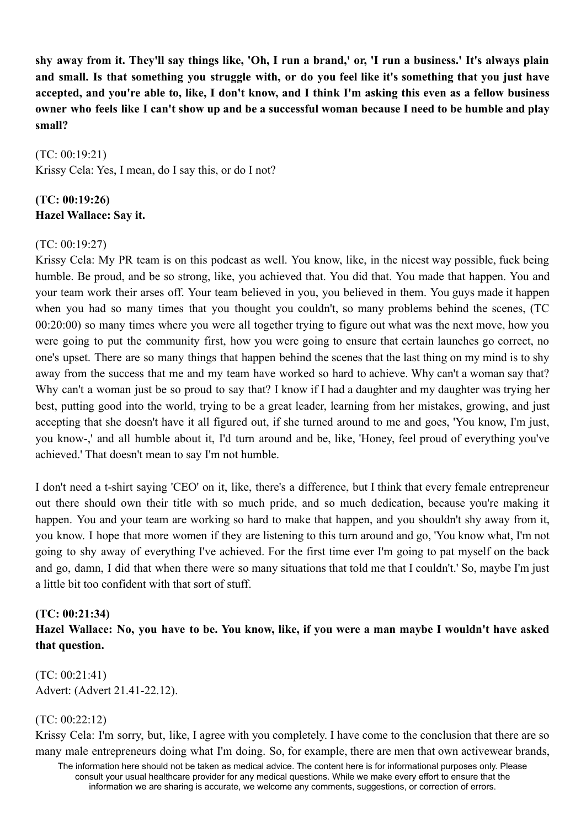shy away from it. They'll say things like, 'Oh, I run a brand,' or, 'I run a business,' It's always plain and small. Is that something you struggle with, or do you feel like it's something that you just have accepted, and vou're able to, like, I don't know, and I think I'm asking this even as a fellow business owner who feels like I can't show up and be a successful woman because I need to be humble and play **small?**

(TC: 00:19:21) Krissy Cela: Yes, I mean, do I say this, or do I not?

# **(TC: 00:19:26) Hazel Wallace: Say it.**

### (TC: 00:19:27)

Krissy Cela: My PR team is on this podcast as well. You know, like, in the nicest way possible, fuck being humble. Be proud, and be so strong, like, you achieved that. You did that. You made that happen. You and your team work their arses off. Your team believed in you, you believed in them. You guys made it happen when you had so many times that you thought you couldn't, so many problems behind the scenes, (TC 00:20:00) so many times where you were all together trying to figure out what was the next move, how you were going to put the community first, how you were going to ensure that certain launches go correct, no one's upset. There are so many things that happen behind the scenes that the last thing on my mind is to shy away from the success that me and my team have worked so hard to achieve. Why can't a woman say that? Why can't a woman just be so proud to say that? I know if I had a daughter and my daughter was trying her best, putting good into the world, trying to be a great leader, learning from her mistakes, growing, and just accepting that she doesn't have it all figured out, if she turned around to me and goes, 'You know, I'm just, you know-,' and all humble about it, I'd turn around and be, like, 'Honey, feel proud of everything you've achieved.' That doesn't mean to say I'm not humble.

I don't need a t-shirt saying 'CEO' on it, like, there's a difference, but I think that every female entrepreneur out there should own their title with so much pride, and so much dedication, because you're making it happen. You and your team are working so hard to make that happen, and you shouldn't shy away from it, you know. I hope that more women if they are listening to this turn around and go, 'You know what, I'm not going to shy away of everything I've achieved. For the first time ever I'm going to pat myself on the back and go, damn, I did that when there were so many situations that told me that I couldn't.' So, maybe I'm just a little bit too confident with that sort of stuff.

### **(TC: 00:21:34)**

Hazel Wallace: No, you have to be. You know, like, if you were a man maybe I wouldn't have asked **that question.**

(TC: 00:21:41) Advert: (Advert 21.41-22.12).

### (TC: 00:22:12)

Krissy Cela: I'm sorry, but, like, I agree with you completely. I have come to the conclusion that there are so many male entrepreneurs doing what I'm doing. So, for example, there are men that own activewear brands,

The information here should not be taken as medical advice. The content here is for informational purposes only. Please consult your usual healthcare provider for any medical questions. While we make every effort to ensure that the information we are sharing is accurate, we welcome any comments, suggestions, or correction of errors.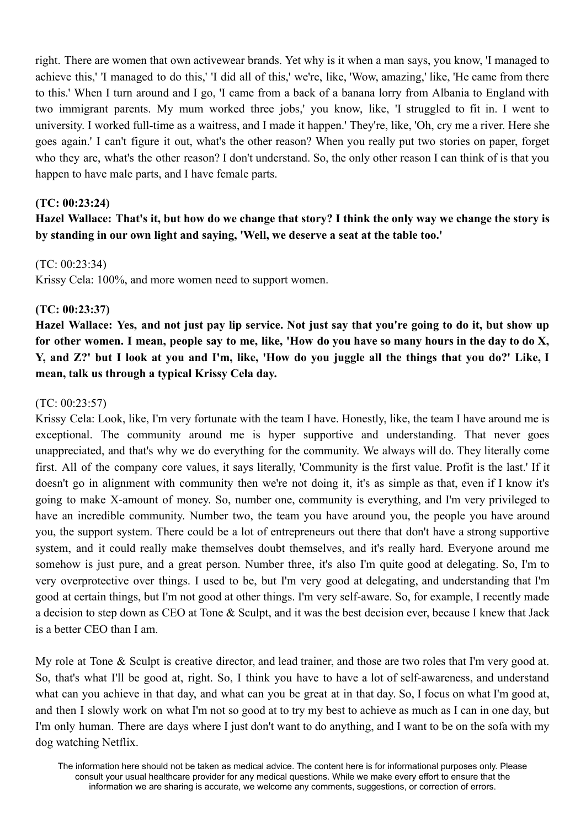right. There are women that own activewear brands. Yet why is it when a man says, you know, 'I managed to achieve this,' 'I managed to do this,' 'I did all of this,' we're, like, 'Wow, amazing,' like, 'He came from there to this.' When I turn around and I go, 'I came from a back of a banana lorry from Albania to England with two immigrant parents. My mum worked three jobs,' you know, like, 'I struggled to fit in. I went to university. I worked full-time as a waitress, and I made it happen.' They're, like, 'Oh, cry me a river. Here she goes again.' I can't figure it out, what's the other reason? When you really put two stories on paper, forget who they are, what's the other reason? I don't understand. So, the only other reason I can think of is that you happen to have male parts, and I have female parts.

#### **(TC: 00:23:24)**

Hazel Wallace: That's it, but how do we change that story? I think the only way we change the story is **by standing in our own light and saying, 'Well, we deserve a seat at the table too.'**

#### $(TC: 00.23.34)$

Krissy Cela: 100%, and more women need to support women.

### **(TC: 00:23:37)**

Hazel Wallace: Yes, and not just pay lip service. Not just say that you're going to do it, but show up for other women. I mean, people say to me, like, 'How do you have so many hours in the day to do X, Y, and Z?' but I look at you and I'm, like, 'How do you juggle all the things that you do?' Like, I **mean, talk us through a typical Krissy Cela day.**

#### (TC: 00:23:57)

Krissy Cela: Look, like, I'm very fortunate with the team I have. Honestly, like, the team I have around me is exceptional. The community around me is hyper supportive and understanding. That never goes unappreciated, and that's why we do everything for the community. We always will do. They literally come first. All of the company core values, it says literally, 'Community is the first value. Profit is the last.' If it doesn't go in alignment with community then we're not doing it, it's as simple as that, even if I know it's going to make X-amount of money. So, number one, community is everything, and I'm very privileged to have an incredible community. Number two, the team you have around you, the people you have around you, the support system. There could be a lot of entrepreneurs out there that don't have a strong supportive system, and it could really make themselves doubt themselves, and it's really hard. Everyone around me somehow is just pure, and a great person. Number three, it's also I'm quite good at delegating. So, I'm to very overprotective over things. I used to be, but I'm very good at delegating, and understanding that I'm good at certain things, but I'm not good at other things. I'm very self-aware. So, for example, I recently made a decision to step down as CEO at Tone & Sculpt, and it was the best decision ever, because I knew that Jack is a better CEO than I am.

My role at Tone & Sculpt is creative director, and lead trainer, and those are two roles that I'm very good at. So, that's what I'll be good at, right. So, I think you have to have a lot of self-awareness, and understand what can you achieve in that day, and what can you be great at in that day. So, I focus on what I'm good at, and then I slowly work on what I'm not so good at to try my best to achieve as much as I can in one day, but I'm only human. There are days where I just don't want to do anything, and I want to be on the sofa with my dog watching Netflix.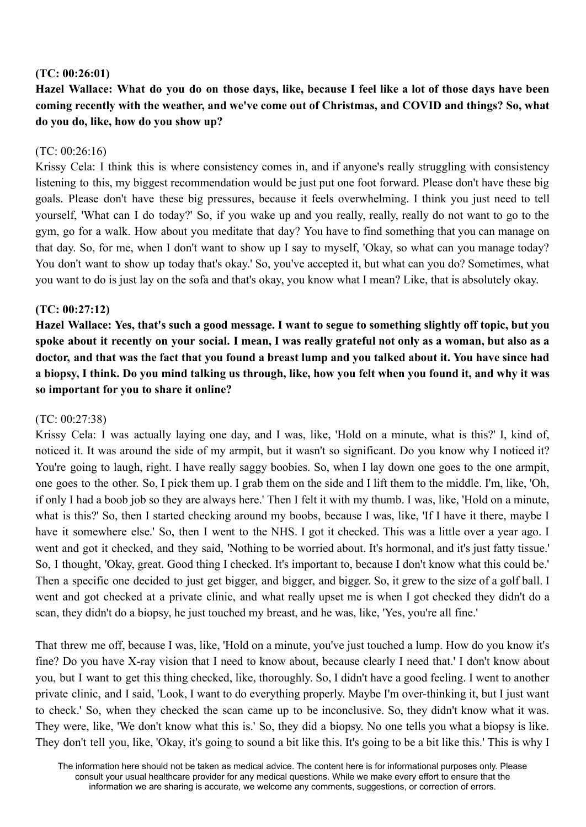#### **(TC: 00:26:01)**

Hazel Wallace: What do you do on those days, like, because I feel like a lot of those days have been **coming recently with the weather, and we've come out of Christmas, and COVID and things? So, what do you do, like, how do you show up?**

#### (TC: 00:26:16)

Krissy Cela: I think this is where consistency comes in, and if anyone's really struggling with consistency listening to this, my biggest recommendation would be just put one foot forward. Please don't have these big goals. Please don't have these big pressures, because it feels overwhelming. I think you just need to tell yourself, 'What can I do today?' So, if you wake up and you really, really, really do not want to go to the gym, go for a walk. How about you meditate that day? You have to find something that you can manage on that day. So, for me, when I don't want to show up I say to myself, 'Okay, so what can you manage today? You don't want to show up today that's okay.' So, you've accepted it, but what can you do? Sometimes, what you want to do is just lay on the sofa and that's okay, you know what I mean? Like, that is absolutely okay.

### **(TC: 00:27:12)**

Hazel Wallace: Yes, that's such a good message. I want to segue to something slightly off topic, but you spoke about it recently on your social. I mean, I was really grateful not only as a woman, but also as a doctor, and that was the fact that you found a breast lump and you talked about it. You have since had a biopsy, I think. Do you mind talking us through, like, how you felt when you found it, and why it was **so important for you to share it online?**

#### (TC: 00:27:38)

Krissy Cela: I was actually laying one day, and I was, like, 'Hold on a minute, what is this?' I, kind of, noticed it. It was around the side of my armpit, but it wasn't so significant. Do you know why I noticed it? You're going to laugh, right. I have really saggy boobies. So, when I lay down one goes to the one armpit, one goes to the other. So, I pick them up. I grab them on the side and I lift them to the middle. I'm, like, 'Oh, if only I had a boob job so they are always here.' Then I felt it with my thumb. I was, like, 'Hold on a minute, what is this?' So, then I started checking around my boobs, because I was, like, 'If I have it there, maybe I have it somewhere else.' So, then I went to the NHS. I got it checked. This was a little over a year ago. I went and got it checked, and they said, 'Nothing to be worried about. It's hormonal, and it's just fatty tissue.' So, I thought, 'Okay, great. Good thing I checked. It's important to, because I don't know what this could be.' Then a specific one decided to just get bigger, and bigger, and bigger. So, it grew to the size of a golf ball. I went and got checked at a private clinic, and what really upset me is when I got checked they didn't do a scan, they didn't do a biopsy, he just touched my breast, and he was, like, 'Yes, you're all fine.'

That threw me off, because I was, like, 'Hold on a minute, you've just touched a lump. How do you know it's fine? Do you have X-ray vision that I need to know about, because clearly I need that.' I don't know about you, but I want to get this thing checked, like, thoroughly. So, I didn't have a good feeling. I went to another private clinic, and I said, 'Look, I want to do everything properly. Maybe I'm over-thinking it, but I just want to check.' So, when they checked the scan came up to be inconclusive. So, they didn't know what it was. They were, like, 'We don't know what this is.' So, they did a biopsy. No one tells you what a biopsy is like. They don't tell you, like, 'Okay, it's going to sound a bit like this. It's going to be a bit like this.' This is why I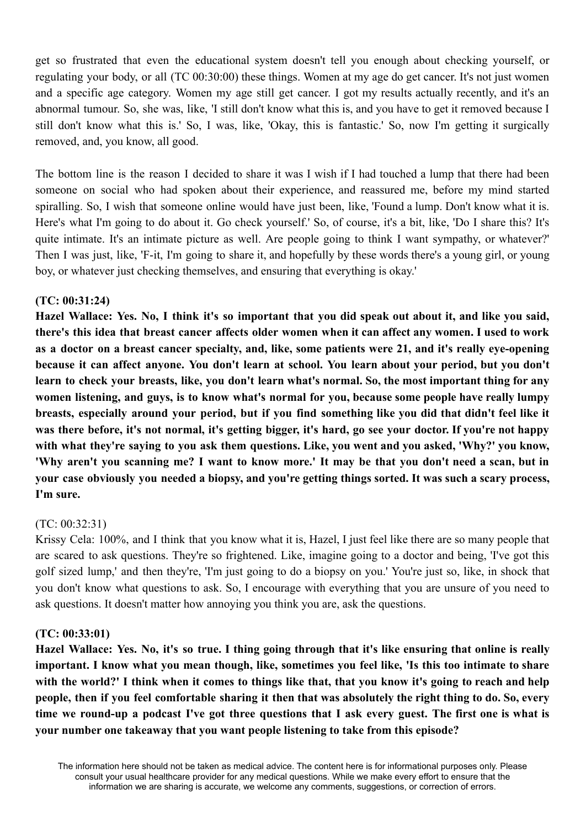get so frustrated that even the educational system doesn't tell you enough about checking yourself, or regulating your body, or all (TC 00:30:00) these things. Women at my age do get cancer. It's not just women and a specific age category. Women my age still get cancer. I got my results actually recently, and it's an abnormal tumour. So, she was, like, 'I still don't know what this is, and you have to get it removed because I still don't know what this is.' So, I was, like, 'Okay, this is fantastic.' So, now I'm getting it surgically removed, and, you know, all good.

The bottom line is the reason I decided to share it was I wish if I had touched a lump that there had been someone on social who had spoken about their experience, and reassured me, before my mind started spiralling. So, I wish that someone online would have just been, like, 'Found a lump. Don't know what it is. Here's what I'm going to do about it. Go check yourself.' So, of course, it's a bit, like, 'Do I share this? It's quite intimate. It's an intimate picture as well. Are people going to think I want sympathy, or whatever?' Then I was just, like, 'F-it, I'm going to share it, and hopefully by these words there's a young girl, or young boy, or whatever just checking themselves, and ensuring that everything is okay.'

#### **(TC: 00:31:24)**

Hazel Wallace: Yes. No, I think it's so important that you did speak out about it, and like you said, there's this idea that breast cancer affects older women when it can affect any women. I used to work as a doctor on a breast cancer specialty, and, like, some patients were 21, and it's really eye-opening because it can affect anyone. You don't learn at school. You learn about your period, but you don't learn to check your breasts, like, you don't learn what's normal. So, the most important thing for any **women listening, and guys, is to know what's normal for you, because some people have really lumpy** breasts, especially around your period, but if you find something like you did that didn't feel like it was there before, it's not normal, it's getting bigger, it's hard, go see your doctor. If you're not happy **with what they're saying to you ask them questions. Like, you went and you asked, 'Why?' you know,** 'Why aren't you scanning me? I want to know more.' It may be that you don't need a scan, but in your case obviously you needed a biopsy, and you're getting things sorted. It was such a scary process, **I'm sure.**

### (TC: 00:32:31)

Krissy Cela: 100%, and I think that you know what it is, Hazel, I just feel like there are so many people that are scared to ask questions. They're so frightened. Like, imagine going to a doctor and being, 'I've got this golf sized lump,' and then they're, 'I'm just going to do a biopsy on you.' You're just so, like, in shock that you don't know what questions to ask. So, I encourage with everything that you are unsure of you need to ask questions. It doesn't matter how annoying you think you are, ask the questions.

#### **(TC: 00:33:01)**

Hazel Wallace: Yes. No, it's so true. I thing going through that it's like ensuring that online is really important. I know what you mean though, like, sometimes you feel like, 'Is this too intimate to share with the world?' I think when it comes to things like that, that you know it's going to reach and help people, then if you feel comfortable sharing it then that was absolutely the right thing to do. So, every time we round-up a podcast I've got three questions that I ask every guest. The first one is what is **your number one takeaway that you want people listening to take from this episode?**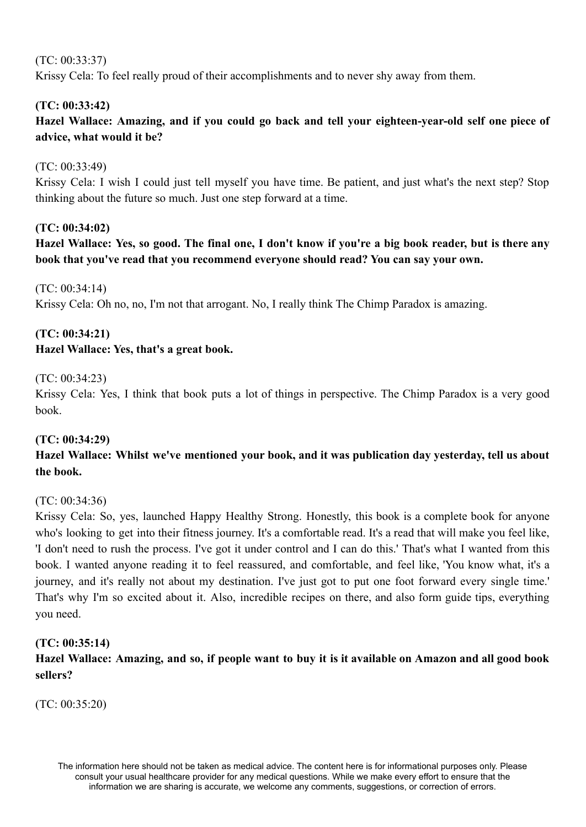## (TC: 00:33:37)

Krissy Cela: To feel really proud of their accomplishments and to never shy away from them.

### **(TC: 00:33:42)**

**Hazel Wallace: Amazing, and if you could go back and tell your eighteen-year-old self one piece of advice, what would it be?**

### (TC: 00:33:49)

Krissy Cela: I wish I could just tell myself you have time. Be patient, and just what's the next step? Stop thinking about the future so much. Just one step forward at a time.

### **(TC: 00:34:02)**

Hazel Wallace: Yes, so good. The final one, I don't know if you're a big book reader, but is there any **book that you've read that you recommend everyone should read? You can say your own.**

 $(TC: 00.34.14)$ 

Krissy Cela: Oh no, no, I'm not that arrogant. No, I really think The Chimp Paradox is amazing.

# **(TC: 00:34:21)**

### **Hazel Wallace: Yes, that's a great book.**

#### (TC: 00:34:23)

Krissy Cela: Yes, I think that book puts a lot of things in perspective. The Chimp Paradox is a very good book.

#### **(TC: 00:34:29)**

# **Hazel Wallace: Whilst we've mentioned your book, and it was publication day yesterday, tell us about the book.**

### (TC: 00:34:36)

Krissy Cela: So, yes, launched Happy Healthy Strong. Honestly, this book is a complete book for anyone who's looking to get into their fitness journey. It's a comfortable read. It's a read that will make you feel like, 'I don't need to rush the process. I've got it under control and I can do this.' That's what I wanted from this book. I wanted anyone reading it to feel reassured, and comfortable, and feel like, 'You know what, it's a journey, and it's really not about my destination. I've just got to put one foot forward every single time.' That's why I'm so excited about it. Also, incredible recipes on there, and also form guide tips, everything you need.

### **(TC: 00:35:14)**

# Hazel Wallace: Amazing, and so, if people want to buy it is it available on Amazon and all good book **sellers?**

(TC: 00:35:20)